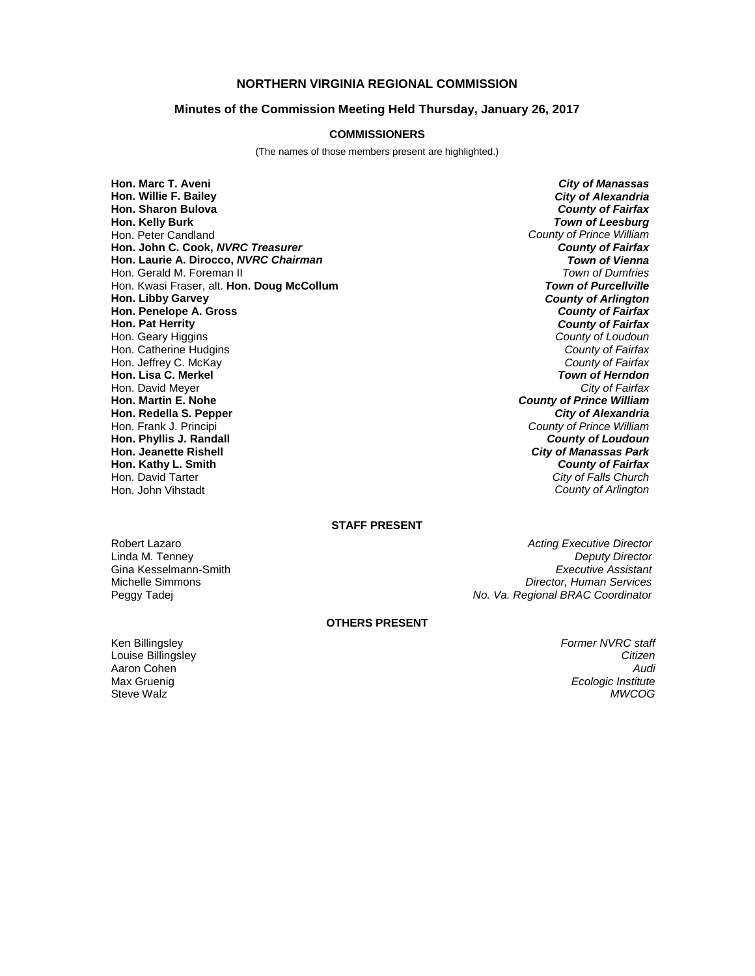# **NORTHERN VIRGINIA REGIONAL COMMISSION**

## **Minutes of the Commission Meeting Held Thursday, January 26, 2017**

#### **COMMISSIONERS**

(The names of those members present are highlighted.)

**Hon. Marc T. Aveni** *City of Manassas* **Hon. Willie F. Bailey<br>Hon. Sharon Bulova Hon. Sharon Bulova** *County of Fairfax* Hon. Peter Candland *County of Prince William* **Hon. John C. Cook,** *NVRC Treasurer County of Fairfax* **Hon. Laurie A. Dirocco,** *NVRC Chairman Town of Vienna* Hon. Gerald M. Foreman II *Town of Dumfries* Hon. Kwasi Fraser, alt. **Hon. Doug McCollum**<br>**Hon. Libby Garvey Hon. Penelope A. Gross Hon. Pat Herrity** Hon. Geary Higgins *County of Loudoun* Hon. Catherine Hudgins *County of Fairfax* Hon. Jeffrey C. McKay *County of Fairfax* **Hon. Lisa C. Merkel** *Town of Herndon* Hon. David Meyer<br>**Hon. Martin E. Nohe Hon. Redella S. Pepper** Hon. Frank J. Principi *County of Prince William* **Hon. Phyllis J. Randall** *County of Loudoun* **Hon. Jeanette Rishell** *City of Manassas Park* **Hon. Kathy L. Smith** *County of Fairfax* Hon. David Tarter *City of Falls Church*

**Town of Leesburg County of Arlington**<br>**County of Fairfax County of Fairfax County of Prince William<br>City of Alexandria**  $Countv$  of Arlington

## **STAFF PRESENT**

Robert Lazaro *Acting Executive Director Acting Executive Director* Linda M. Tenney *Deputy Director* Gina Kesselmann-Smith *Executive Assistant* Michelle Simmons *Director, Human Services* Peggy Tadej *No. Va. Regional BRAC Coordinator*

### **OTHERS PRESENT**

Ken Billingsley *Former NVRC staff*

Louise Billingsley *Citizen* Aaron Cohen *Audi* Max Gruenig *Ecologic Institute* Steve Walz *MWCOG*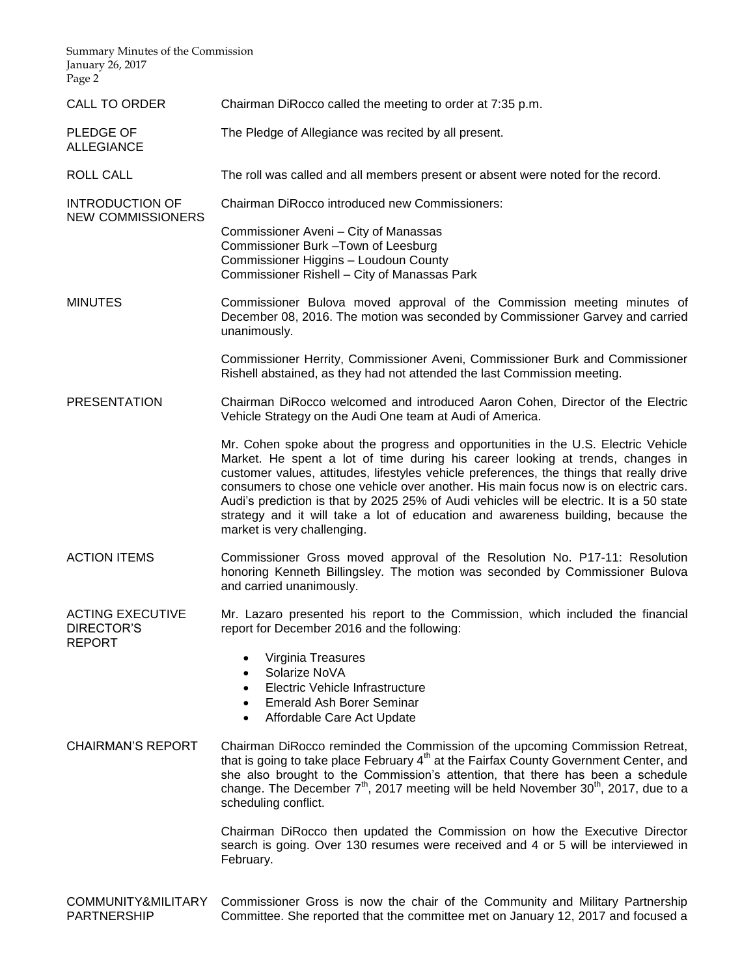| Summary Minutes of the Commission<br>January 26, 2017<br>Page 2 |                                                                                                                                                                                                                                                                                                                                                                                                                                                                                                                                                                                            |
|-----------------------------------------------------------------|--------------------------------------------------------------------------------------------------------------------------------------------------------------------------------------------------------------------------------------------------------------------------------------------------------------------------------------------------------------------------------------------------------------------------------------------------------------------------------------------------------------------------------------------------------------------------------------------|
| <b>CALL TO ORDER</b>                                            | Chairman DiRocco called the meeting to order at 7:35 p.m.                                                                                                                                                                                                                                                                                                                                                                                                                                                                                                                                  |
| PLEDGE OF<br><b>ALLEGIANCE</b>                                  | The Pledge of Allegiance was recited by all present.                                                                                                                                                                                                                                                                                                                                                                                                                                                                                                                                       |
| ROLL CALL                                                       | The roll was called and all members present or absent were noted for the record.                                                                                                                                                                                                                                                                                                                                                                                                                                                                                                           |
| <b>INTRODUCTION OF</b><br><b>NEW COMMISSIONERS</b>              | <b>Chairman DiRocco introduced new Commissioners:</b>                                                                                                                                                                                                                                                                                                                                                                                                                                                                                                                                      |
|                                                                 | Commissioner Aveni - City of Manassas<br>Commissioner Burk - Town of Leesburg<br>Commissioner Higgins - Loudoun County<br>Commissioner Rishell - City of Manassas Park                                                                                                                                                                                                                                                                                                                                                                                                                     |
| <b>MINUTES</b>                                                  | Commissioner Bulova moved approval of the Commission meeting minutes of<br>December 08, 2016. The motion was seconded by Commissioner Garvey and carried<br>unanimously.                                                                                                                                                                                                                                                                                                                                                                                                                   |
|                                                                 | Commissioner Herrity, Commissioner Aveni, Commissioner Burk and Commissioner<br>Rishell abstained, as they had not attended the last Commission meeting.                                                                                                                                                                                                                                                                                                                                                                                                                                   |
| <b>PRESENTATION</b>                                             | Chairman DiRocco welcomed and introduced Aaron Cohen, Director of the Electric<br>Vehicle Strategy on the Audi One team at Audi of America.                                                                                                                                                                                                                                                                                                                                                                                                                                                |
|                                                                 | Mr. Cohen spoke about the progress and opportunities in the U.S. Electric Vehicle<br>Market. He spent a lot of time during his career looking at trends, changes in<br>customer values, attitudes, lifestyles vehicle preferences, the things that really drive<br>consumers to chose one vehicle over another. His main focus now is on electric cars.<br>Audi's prediction is that by 2025 25% of Audi vehicles will be electric. It is a 50 state<br>strategy and it will take a lot of education and awareness building, because the<br>market is very challenging.                    |
| <b>ACTION ITEMS</b>                                             | Commissioner Gross moved approval of the Resolution No. P17-11: Resolution<br>honoring Kenneth Billingsley. The motion was seconded by Commissioner Bulova<br>and carried unanimously.                                                                                                                                                                                                                                                                                                                                                                                                     |
| <b>ACTING EXECUTIVE</b><br>DIRECTOR'S<br><b>REPORT</b>          | Mr. Lazaro presented his report to the Commission, which included the financial<br>report for December 2016 and the following:<br>Virginia Treasures<br>$\bullet$<br>Solarize NoVA<br>$\bullet$<br>Electric Vehicle Infrastructure<br>$\bullet$<br>Emerald Ash Borer Seminar<br>$\bullet$<br>Affordable Care Act Update<br>$\bullet$                                                                                                                                                                                                                                                       |
| <b>CHAIRMAN'S REPORT</b>                                        | Chairman DiRocco reminded the Commission of the upcoming Commission Retreat,<br>that is going to take place February 4 <sup>th</sup> at the Fairfax County Government Center, and<br>she also brought to the Commission's attention, that there has been a schedule<br>change. The December 7 <sup>th</sup> , 2017 meeting will be held November 30 <sup>th</sup> , 2017, due to a<br>scheduling conflict.<br>Chairman DiRocco then updated the Commission on how the Executive Director<br>search is going. Over 130 resumes were received and 4 or 5 will be interviewed in<br>February. |
|                                                                 |                                                                                                                                                                                                                                                                                                                                                                                                                                                                                                                                                                                            |

COMMUNITY&MILITARY PARTNERSHIP Commissioner Gross is now the chair of the Community and Military Partnership Committee. She reported that the committee met on January 12, 2017 and focused a